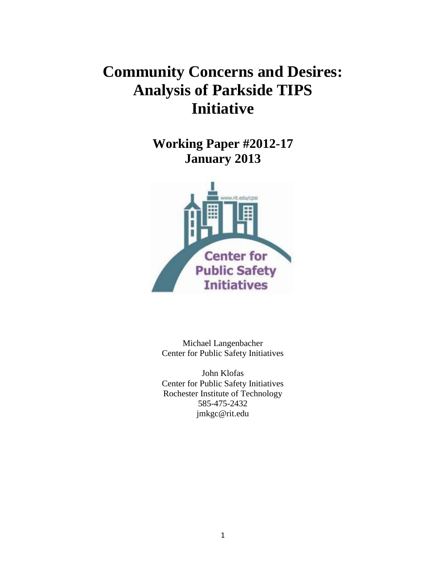## **Community Concerns and Desires: Analysis of Parkside TIPS Initiative**

**Working Paper #2012-17 January 2013**



Michael Langenbacher Center for Public Safety Initiatives

John Klofas Center for Public Safety Initiatives Rochester Institute of Technology 585-475-2432 jmkgc@rit.edu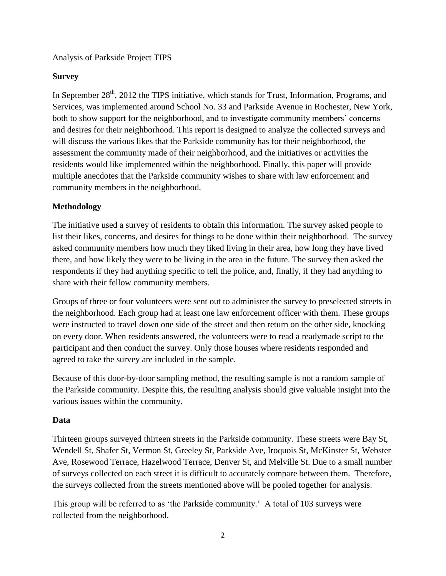Analysis of Parkside Project TIPS

## **Survey**

In September  $28<sup>th</sup>$ , 2012 the TIPS initiative, which stands for Trust, Information, Programs, and Services, was implemented around School No. 33 and Parkside Avenue in Rochester, New York, both to show support for the neighborhood, and to investigate community members' concerns and desires for their neighborhood. This report is designed to analyze the collected surveys and will discuss the various likes that the Parkside community has for their neighborhood, the assessment the community made of their neighborhood, and the initiatives or activities the residents would like implemented within the neighborhood. Finally, this paper will provide multiple anecdotes that the Parkside community wishes to share with law enforcement and community members in the neighborhood.

## **Methodology**

The initiative used a survey of residents to obtain this information. The survey asked people to list their likes, concerns, and desires for things to be done within their neighborhood. The survey asked community members how much they liked living in their area, how long they have lived there, and how likely they were to be living in the area in the future. The survey then asked the respondents if they had anything specific to tell the police, and, finally, if they had anything to share with their fellow community members.

Groups of three or four volunteers were sent out to administer the survey to preselected streets in the neighborhood. Each group had at least one law enforcement officer with them. These groups were instructed to travel down one side of the street and then return on the other side, knocking on every door. When residents answered, the volunteers were to read a readymade script to the participant and then conduct the survey. Only those houses where residents responded and agreed to take the survey are included in the sample.

Because of this door-by-door sampling method, the resulting sample is not a random sample of the Parkside community. Despite this, the resulting analysis should give valuable insight into the various issues within the community.

### **Data**

Thirteen groups surveyed thirteen streets in the Parkside community. These streets were Bay St, Wendell St, Shafer St, Vermon St, Greeley St, Parkside Ave, Iroquois St, McKinster St, Webster Ave, Rosewood Terrace, Hazelwood Terrace, Denver St, and Melville St. Due to a small number of surveys collected on each street it is difficult to accurately compare between them. Therefore, the surveys collected from the streets mentioned above will be pooled together for analysis.

This group will be referred to as 'the Parkside community.' A total of 103 surveys were collected from the neighborhood.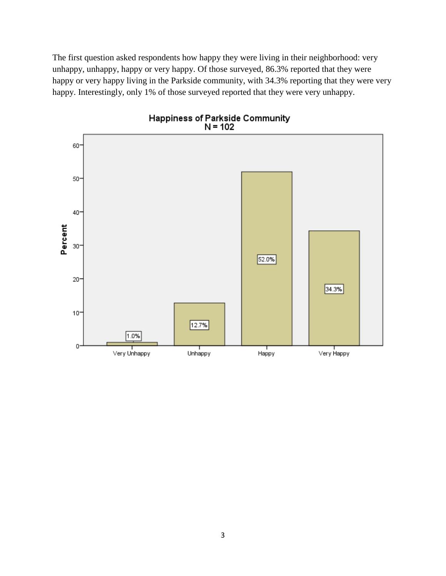The first question asked respondents how happy they were living in their neighborhood: very unhappy, unhappy, happy or very happy. Of those surveyed, 86.3% reported that they were happy or very happy living in the Parkside community, with 34.3% reporting that they were very happy. Interestingly, only 1% of those surveyed reported that they were very unhappy.

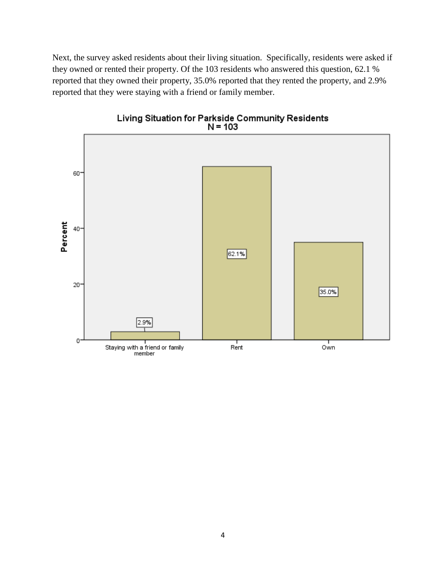Next, the survey asked residents about their living situation. Specifically, residents were asked if they owned or rented their property. Of the 103 residents who answered this question, 62.1 % reported that they owned their property, 35.0% reported that they rented the property, and 2.9% reported that they were staying with a friend or family member.



Living Situation for Parkside Community Residents<br>N = 103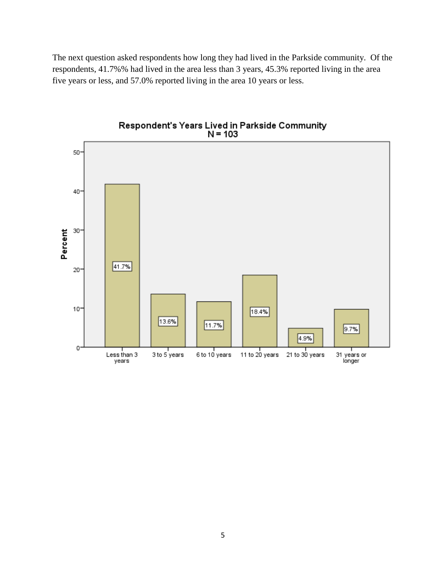The next question asked respondents how long they had lived in the Parkside community. Of the respondents, 41.7%% had lived in the area less than 3 years, 45.3% reported living in the area five years or less, and 57.0% reported living in the area 10 years or less.

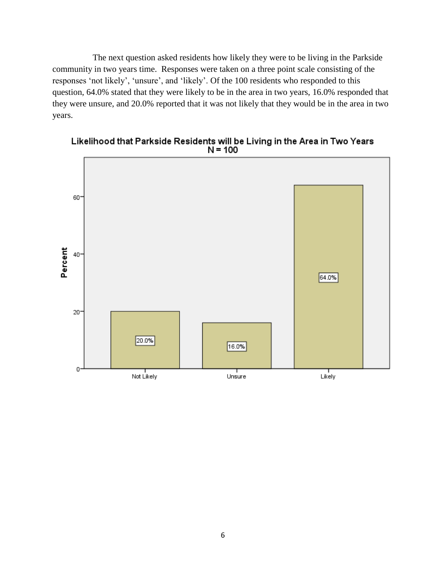The next question asked residents how likely they were to be living in the Parkside community in two years time. Responses were taken on a three point scale consisting of the responses 'not likely', 'unsure', and 'likely'. Of the 100 residents who responded to this question, 64.0% stated that they were likely to be in the area in two years, 16.0% responded that they were unsure, and 20.0% reported that it was not likely that they would be in the area in two years.



Likelihood that Parkside Residents will be Living in the Area in Two Years<br>N = 100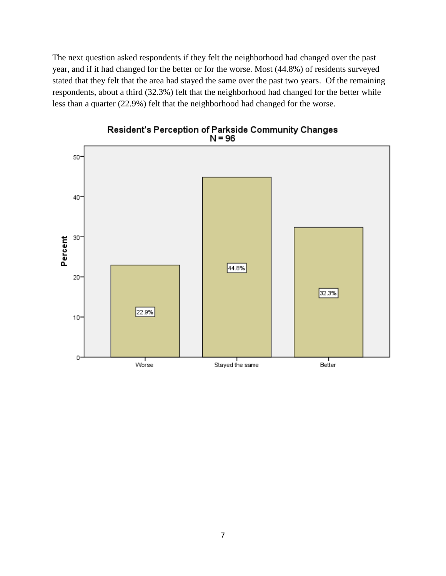The next question asked respondents if they felt the neighborhood had changed over the past year, and if it had changed for the better or for the worse. Most (44.8%) of residents surveyed stated that they felt that the area had stayed the same over the past two years. Of the remaining respondents, about a third (32.3%) felt that the neighborhood had changed for the better while less than a quarter (22.9%) felt that the neighborhood had changed for the worse.



# Resident's Perception of Parkside Community Changes<br>N = 96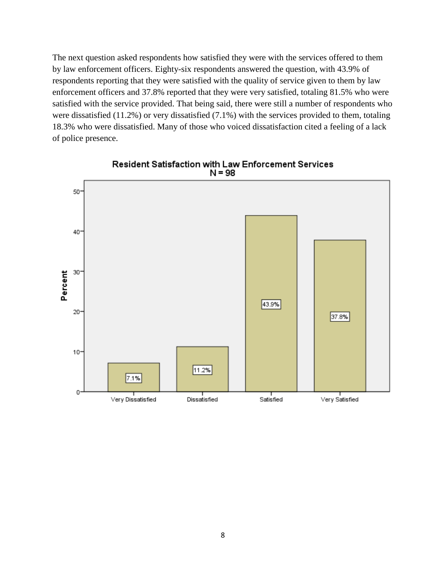The next question asked respondents how satisfied they were with the services offered to them by law enforcement officers. Eighty-six respondents answered the question, with 43.9% of respondents reporting that they were satisfied with the quality of service given to them by law enforcement officers and 37.8% reported that they were very satisfied, totaling 81.5% who were satisfied with the service provided. That being said, there were still a number of respondents who were dissatisfied (11.2%) or very dissatisfied (7.1%) with the services provided to them, totaling 18.3% who were dissatisfied. Many of those who voiced dissatisfaction cited a feeling of a lack of police presence.



Resident Satisfaction with Law Enforcement Services  $N = 98$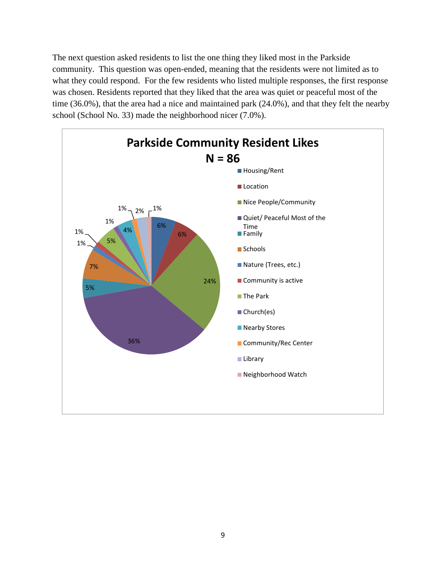The next question asked residents to list the one thing they liked most in the Parkside community. This question was open-ended, meaning that the residents were not limited as to what they could respond. For the few residents who listed multiple responses, the first response was chosen. Residents reported that they liked that the area was quiet or peaceful most of the time (36.0%), that the area had a nice and maintained park (24.0%), and that they felt the nearby school (School No. 33) made the neighborhood nicer (7.0%).

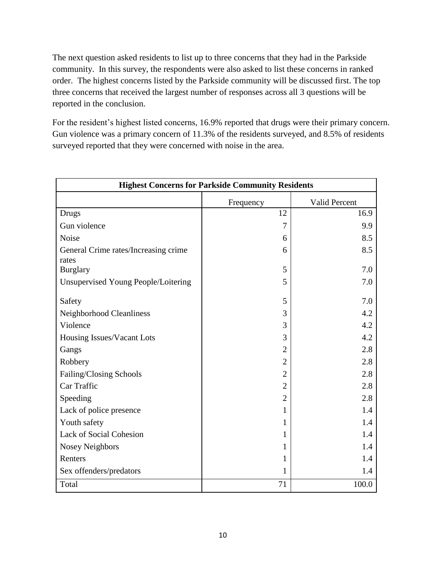The next question asked residents to list up to three concerns that they had in the Parkside community. In this survey, the respondents were also asked to list these concerns in ranked order. The highest concerns listed by the Parkside community will be discussed first. The top three concerns that received the largest number of responses across all 3 questions will be reported in the conclusion.

For the resident's highest listed concerns, 16.9% reported that drugs were their primary concern. Gun violence was a primary concern of 11.3% of the residents surveyed, and 8.5% of residents surveyed reported that they were concerned with noise in the area.

|                                               | <b>Highest Concerns for Parkside Community Residents</b> |               |
|-----------------------------------------------|----------------------------------------------------------|---------------|
|                                               | Frequency                                                | Valid Percent |
| Drugs                                         | 12                                                       | 16.9          |
| Gun violence                                  | $\overline{7}$                                           | 9.9           |
| Noise                                         | 6                                                        | 8.5           |
| General Crime rates/Increasing crime<br>rates | 6                                                        | 8.5           |
| <b>Burglary</b>                               | 5                                                        | 7.0           |
| Unsupervised Young People/Loitering           | 5                                                        | 7.0           |
| Safety                                        | 5                                                        | 7.0           |
| Neighborhood Cleanliness                      | 3                                                        | 4.2           |
| Violence                                      | 3                                                        | 4.2           |
| Housing Issues/Vacant Lots                    | 3                                                        | 4.2           |
| Gangs                                         | $\overline{2}$                                           | 2.8           |
| Robbery                                       | $\overline{2}$                                           | 2.8           |
| Failing/Closing Schools                       | $\overline{2}$                                           | 2.8           |
| Car Traffic                                   | $\overline{2}$                                           | 2.8           |
| Speeding                                      | $\overline{2}$                                           | 2.8           |
| Lack of police presence                       | 1                                                        | 1.4           |
| Youth safety                                  | 1                                                        | 1.4           |
| <b>Lack of Social Cohesion</b>                | 1                                                        | 1.4           |
| <b>Nosey Neighbors</b>                        | 1                                                        | 1.4           |
| Renters                                       | 1                                                        | 1.4           |
| Sex offenders/predators                       | 1                                                        | 1.4           |
| Total                                         | 71                                                       | 100.0         |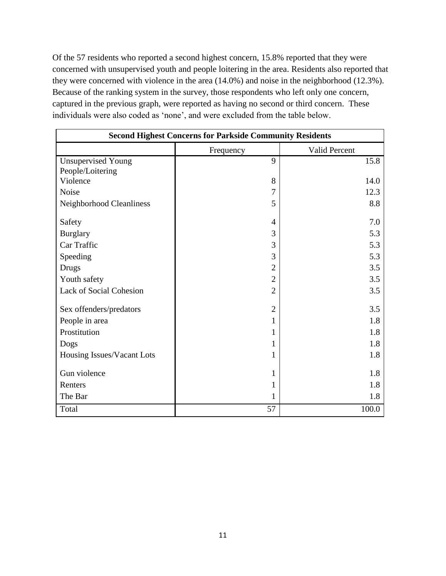Of the 57 residents who reported a second highest concern, 15.8% reported that they were concerned with unsupervised youth and people loitering in the area. Residents also reported that they were concerned with violence in the area (14.0%) and noise in the neighborhood (12.3%). Because of the ranking system in the survey, those respondents who left only one concern, captured in the previous graph, were reported as having no second or third concern. These individuals were also coded as 'none', and were excluded from the table below.

| <b>Second Highest Concerns for Parkside Community Residents</b> |                |               |  |  |  |  |  |  |  |
|-----------------------------------------------------------------|----------------|---------------|--|--|--|--|--|--|--|
|                                                                 | Frequency      | Valid Percent |  |  |  |  |  |  |  |
| <b>Unsupervised Young</b>                                       | 9              | 15.8          |  |  |  |  |  |  |  |
| People/Loitering                                                |                |               |  |  |  |  |  |  |  |
| Violence                                                        | 8              | 14.0          |  |  |  |  |  |  |  |
| Noise                                                           | 7              | 12.3          |  |  |  |  |  |  |  |
| Neighborhood Cleanliness                                        | 5              | 8.8           |  |  |  |  |  |  |  |
| Safety                                                          | 4              | 7.0           |  |  |  |  |  |  |  |
| <b>Burglary</b>                                                 | 3              | 5.3           |  |  |  |  |  |  |  |
| Car Traffic                                                     | 3              | 5.3           |  |  |  |  |  |  |  |
| Speeding                                                        | 3              | 5.3           |  |  |  |  |  |  |  |
| <b>Drugs</b>                                                    | 2              | 3.5           |  |  |  |  |  |  |  |
| Youth safety                                                    | $\overline{2}$ | 3.5           |  |  |  |  |  |  |  |
| Lack of Social Cohesion                                         | $\overline{2}$ | 3.5           |  |  |  |  |  |  |  |
| Sex offenders/predators                                         | $\overline{2}$ | 3.5           |  |  |  |  |  |  |  |
| People in area                                                  |                | 1.8           |  |  |  |  |  |  |  |
| Prostitution                                                    |                | 1.8           |  |  |  |  |  |  |  |
| Dogs                                                            |                | 1.8           |  |  |  |  |  |  |  |
| Housing Issues/Vacant Lots                                      |                | 1.8           |  |  |  |  |  |  |  |
| Gun violence                                                    |                | 1.8           |  |  |  |  |  |  |  |
| Renters                                                         |                | 1.8           |  |  |  |  |  |  |  |
| The Bar                                                         | 1              | 1.8           |  |  |  |  |  |  |  |
| Total                                                           | 57             | 100.0         |  |  |  |  |  |  |  |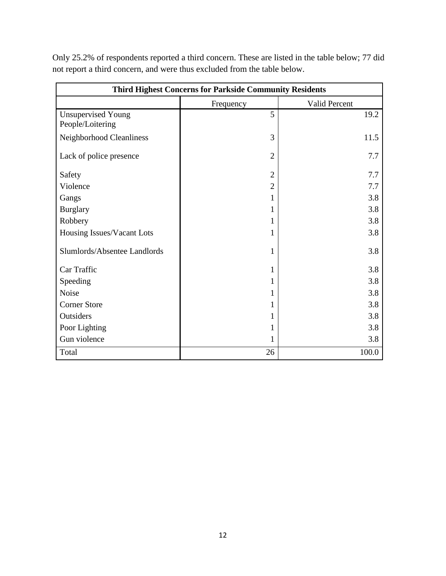| <b>Third Highest Concerns for Parkside Community Residents</b> |                |                      |  |  |  |  |  |  |  |
|----------------------------------------------------------------|----------------|----------------------|--|--|--|--|--|--|--|
|                                                                | Frequency      | <b>Valid Percent</b> |  |  |  |  |  |  |  |
| <b>Unsupervised Young</b>                                      | 5              | 19.2                 |  |  |  |  |  |  |  |
| People/Loitering                                               |                |                      |  |  |  |  |  |  |  |
| Neighborhood Cleanliness                                       | 3              | 11.5                 |  |  |  |  |  |  |  |
| Lack of police presence                                        | $\overline{2}$ | 7.7                  |  |  |  |  |  |  |  |
| Safety                                                         | $\overline{2}$ | 7.7                  |  |  |  |  |  |  |  |
| Violence                                                       | $\overline{2}$ | 7.7                  |  |  |  |  |  |  |  |
| Gangs                                                          |                | 3.8                  |  |  |  |  |  |  |  |
| <b>Burglary</b>                                                |                | 3.8                  |  |  |  |  |  |  |  |
| Robbery                                                        |                | 3.8                  |  |  |  |  |  |  |  |
| Housing Issues/Vacant Lots                                     | 1              | 3.8                  |  |  |  |  |  |  |  |
| Slumlords/Absentee Landlords                                   | 1              | 3.8                  |  |  |  |  |  |  |  |
| Car Traffic                                                    | 1              | 3.8                  |  |  |  |  |  |  |  |
| Speeding                                                       | 1              | 3.8                  |  |  |  |  |  |  |  |
| Noise                                                          |                | 3.8                  |  |  |  |  |  |  |  |
| <b>Corner Store</b>                                            |                | 3.8                  |  |  |  |  |  |  |  |
| Outsiders                                                      |                | 3.8                  |  |  |  |  |  |  |  |
| Poor Lighting                                                  |                | 3.8                  |  |  |  |  |  |  |  |
| Gun violence                                                   |                | 3.8                  |  |  |  |  |  |  |  |
| Total                                                          | 26             | 100.0                |  |  |  |  |  |  |  |

Only 25.2% of respondents reported a third concern. These are listed in the table below; 77 did not report a third concern, and were thus excluded from the table below.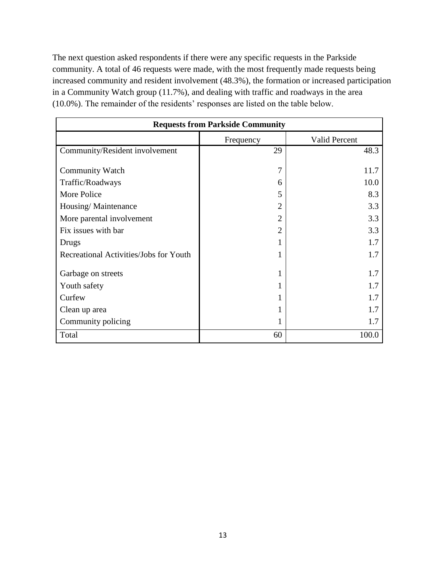The next question asked respondents if there were any specific requests in the Parkside community. A total of 46 requests were made, with the most frequently made requests being increased community and resident involvement (48.3%), the formation or increased participation in a Community Watch group (11.7%), and dealing with traffic and roadways in the area (10.0%). The remainder of the residents' responses are listed on the table below.

| <b>Requests from Parkside Community</b> |                |                      |  |  |  |  |  |  |  |
|-----------------------------------------|----------------|----------------------|--|--|--|--|--|--|--|
|                                         | Frequency      | <b>Valid Percent</b> |  |  |  |  |  |  |  |
| Community/Resident involvement          | 29             | 48.3                 |  |  |  |  |  |  |  |
| <b>Community Watch</b>                  | 7              | 11.7                 |  |  |  |  |  |  |  |
| Traffic/Roadways                        | 6              | 10.0                 |  |  |  |  |  |  |  |
| More Police                             | 5              | 8.3                  |  |  |  |  |  |  |  |
| Housing/Maintenance                     | $\overline{2}$ | 3.3                  |  |  |  |  |  |  |  |
| More parental involvement               | $\mathfrak{D}$ | 3.3                  |  |  |  |  |  |  |  |
| Fix issues with bar                     | $\mathfrak{D}$ | 3.3                  |  |  |  |  |  |  |  |
| Drugs                                   |                | 1.7                  |  |  |  |  |  |  |  |
| Recreational Activities/Jobs for Youth  |                | 1.7                  |  |  |  |  |  |  |  |
| Garbage on streets                      |                | 1.7                  |  |  |  |  |  |  |  |
| Youth safety                            |                | 1.7                  |  |  |  |  |  |  |  |
| Curfew                                  |                | 1.7                  |  |  |  |  |  |  |  |
| Clean up area                           |                | 1.7                  |  |  |  |  |  |  |  |
| Community policing                      |                | 1.7                  |  |  |  |  |  |  |  |
| Total                                   | 60             | 100.0                |  |  |  |  |  |  |  |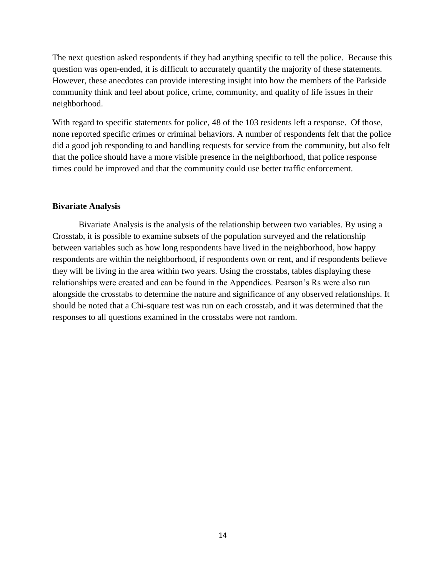The next question asked respondents if they had anything specific to tell the police. Because this question was open-ended, it is difficult to accurately quantify the majority of these statements. However, these anecdotes can provide interesting insight into how the members of the Parkside community think and feel about police, crime, community, and quality of life issues in their neighborhood.

With regard to specific statements for police, 48 of the 103 residents left a response. Of those, none reported specific crimes or criminal behaviors. A number of respondents felt that the police did a good job responding to and handling requests for service from the community, but also felt that the police should have a more visible presence in the neighborhood, that police response times could be improved and that the community could use better traffic enforcement.

#### **Bivariate Analysis**

Bivariate Analysis is the analysis of the relationship between two variables. By using a Crosstab, it is possible to examine subsets of the population surveyed and the relationship between variables such as how long respondents have lived in the neighborhood, how happy respondents are within the neighborhood, if respondents own or rent, and if respondents believe they will be living in the area within two years. Using the crosstabs, tables displaying these relationships were created and can be found in the Appendices. Pearson's Rs were also run alongside the crosstabs to determine the nature and significance of any observed relationships. It should be noted that a Chi-square test was run on each crosstab, and it was determined that the responses to all questions examined in the crosstabs were not random.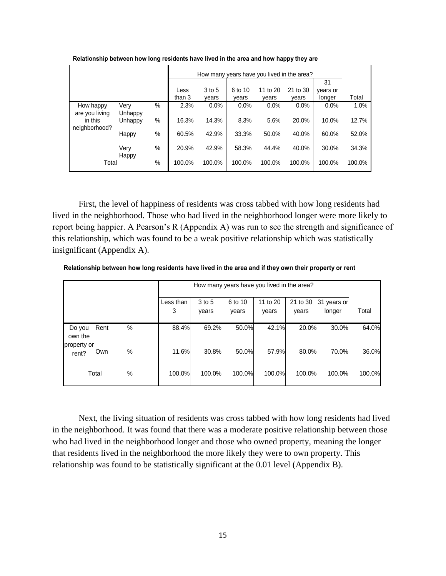|                             |                 |        |        | How many years have you lived in the area? |         |          |          |          |        |  |
|-----------------------------|-----------------|--------|--------|--------------------------------------------|---------|----------|----------|----------|--------|--|
|                             |                 |        |        |                                            |         |          |          | 31       |        |  |
|                             |                 |        | Less   | 3 to 5                                     | 6 to 10 | 11 to 20 | 21 to 30 | years or |        |  |
|                             |                 | than 3 | vears  | vears                                      | vears   | vears    | longer   | Total    |        |  |
| How happy<br>are you living | Very<br>Unhappy | %      | 2.3%   | $0.0\%$                                    | 0.0%    | $0.0\%$  | $0.0\%$  | 0.0%     | 1.0%   |  |
| in this<br>neighborhood?    | Unhappy         | %      | 16.3%  | 14.3%                                      | 8.3%    | 5.6%     | 20.0%    | 10.0%    | 12.7%  |  |
|                             | Happy           | %      | 60.5%  | 42.9%                                      | 33.3%   | 50.0%    | 40.0%    | 60.0%    | 52.0%  |  |
|                             | Very<br>Happy   | %      | 20.9%  | 42.9%                                      | 58.3%   | 44.4%    | 40.0%    | 30.0%    | 34.3%  |  |
| Total                       |                 | %      | 100.0% | 100.0%                                     | 100.0%  | 100.0%   | 100.0%   | 100.0%   | 100.0% |  |

**Relationship between how long residents have lived in the area and how happy they are**

First, the level of happiness of residents was cross tabbed with how long residents had lived in the neighborhood. Those who had lived in the neighborhood longer were more likely to report being happier. A Pearson's R (Appendix A) was run to see the strength and significance of this relationship, which was found to be a weak positive relationship which was statistically insignificant (Appendix A).

**Relationship between how long residents have lived in the area and if they own their property or rent**

|                      |       |   |                |                 |                  | How many years have you lived in the area? |                   |                       |        |
|----------------------|-------|---|----------------|-----------------|------------------|--------------------------------------------|-------------------|-----------------------|--------|
|                      |       |   | Less than<br>3 | 3 to 5<br>vears | 6 to 10<br>years | 11 to 20<br>years                          | 21 to 30<br>vears | 31 years or<br>longer | Total  |
| Do you<br>own the    | Rent  | % | 88.4%          | 69.2%           | 50.0%            | 42.1%                                      | 20.0%             | 30.0%                 | 64.0%  |
| property or<br>rent? | Own   | % | 11.6%          | 30.8%           | 50.0%            | 57.9%                                      | 80.0%             | 70.0%                 | 36.0%  |
|                      | Total | % | 100.0%         | 100.0%          | 100.0%           | 100.0%                                     | 100.0%            | 100.0%                | 100.0% |

Next, the living situation of residents was cross tabbed with how long residents had lived in the neighborhood. It was found that there was a moderate positive relationship between those who had lived in the neighborhood longer and those who owned property, meaning the longer that residents lived in the neighborhood the more likely they were to own property. This relationship was found to be statistically significant at the 0.01 level (Appendix B).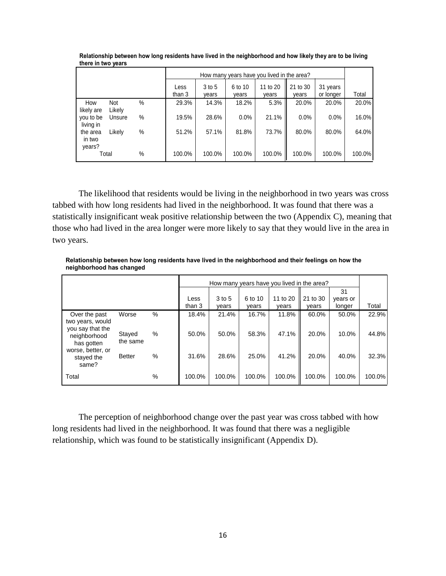|                              |               |      |                |                 |                  | How many years have you lived in the area? |                   |                       |        |
|------------------------------|---------------|------|----------------|-----------------|------------------|--------------------------------------------|-------------------|-----------------------|--------|
|                              |               |      | Less<br>than 3 | 3 to 5<br>vears | 6 to 10<br>vears | 11 to 20<br>vears                          | 21 to 30<br>years | 31 years<br>or longer | Total  |
| How<br>likely are            | Not<br>Likely | $\%$ | 29.3%          | 14.3%           | 18.2%            | 5.3%                                       | 20.0%             | 20.0%                 | 20.0%  |
| you to be<br>living in       | Unsure        | %    | 19.5%          | 28.6%           | 0.0%             | 21.1%                                      | $0.0\%$           | $0.0\%$               | 16.0%  |
| the area<br>in two<br>years? | Likelv        | %    | 51.2%          | 57.1%           | 81.8%            | 73.7%                                      | 80.0%             | 80.0%                 | 64.0%  |
|                              | Total         | $\%$ | 100.0%         | 100.0%          | 100.0%           | 100.0%                                     | 100.0%            | 100.0%                | 100.0% |

**Relationship between how long residents have lived in the neighborhood and how likely they are to be living there in two years**

The likelihood that residents would be living in the neighborhood in two years was cross tabbed with how long residents had lived in the neighborhood. It was found that there was a statistically insignificant weak positive relationship between the two (Appendix C), meaning that those who had lived in the area longer were more likely to say that they would live in the area in two years.

**Relationship between how long residents have lived in the neighborhood and their feelings on how the neighborhood has changed**

|                                                                                            |                    |      | How many years have you lived in the area? |                     |                  |                   |                   |                          |           |  |  |
|--------------------------------------------------------------------------------------------|--------------------|------|--------------------------------------------|---------------------|------------------|-------------------|-------------------|--------------------------|-----------|--|--|
|                                                                                            |                    |      | Less<br>than 3                             | $3$ to $5$<br>vears | 6 to 10<br>years | 11 to 20<br>years | 21 to 30<br>vears | 31<br>years or<br>longer | Total     |  |  |
| Over the past<br>two years, would                                                          | Worse              | $\%$ | 18.4%                                      | 21.4%               | 16.7%            | 11.8%             | 60.0%             | 50.0%                    | 22.9%     |  |  |
| you say that the<br>neighborhood<br>has gotten<br>worse, better, or<br>stayed the<br>same? | Stayed<br>the same | %    | 50.0%                                      | 50.0%               | 58.3%            | 47.1%             | 20.0%             | 10.0%                    | 44.8%     |  |  |
|                                                                                            | <b>Better</b>      | %    | 31.6%                                      | 28.6%               | 25.0%            | 41.2%             | 20.0%             | 40.0%                    | 32.3%     |  |  |
| Total                                                                                      |                    | %    | 100.0%                                     | 100.0%              | 100.0%           | 100.0%            | 100.0%            | 100.0%                   | $100.0\%$ |  |  |

The perception of neighborhood change over the past year was cross tabbed with how long residents had lived in the neighborhood. It was found that there was a negligible relationship, which was found to be statistically insignificant (Appendix D).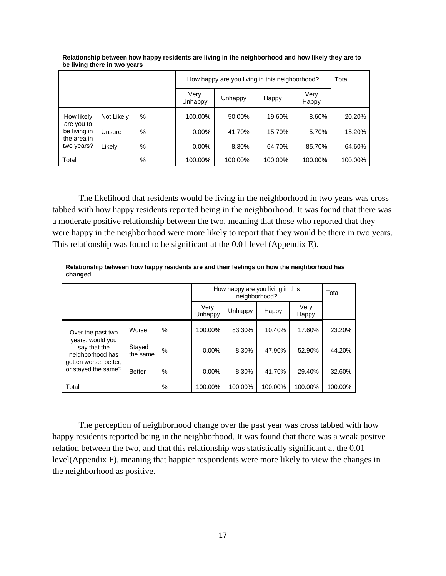|                          |                                           |          | How happy are you living in this neighborhood? | Total   |         |               |         |
|--------------------------|-------------------------------------------|----------|------------------------------------------------|---------|---------|---------------|---------|
|                          |                                           |          | Very<br>Unhappy                                | Unhappy | Happy   | Very<br>Happy |         |
| How likely<br>are you to | Not Likely                                | %        | 100.00%                                        | 50.00%  | 19.60%  | 8.60%         | 20.20%  |
| be living in             | %<br>Unsure<br>the area in<br>Likely<br>% | $0.00\%$ | 41.70%                                         | 15.70%  | 5.70%   | 15.20%        |         |
| two years?               |                                           | $0.00\%$ | 8.30%                                          | 64.70%  | 85.70%  | 64.60%        |         |
| Total                    |                                           | %        | 100.00%                                        | 100.00% | 100.00% | 100.00%       | 100.00% |

**Relationship between how happy residents are living in the neighborhood and how likely they are to be living there in two years**

The likelihood that residents would be living in the neighborhood in two years was cross tabbed with how happy residents reported being in the neighborhood. It was found that there was a moderate positive relationship between the two, meaning that those who reported that they were happy in the neighborhood were more likely to report that they would be there in two years. This relationship was found to be significant at the 0.01 level (Appendix E).

**Relationship between how happy residents are and their feelings on how the neighborhood has changed**

|                                                                                                      |                    |      |                 |         | How happy are you living in this<br>neighborhood? |               |         |  |  |  |
|------------------------------------------------------------------------------------------------------|--------------------|------|-----------------|---------|---------------------------------------------------|---------------|---------|--|--|--|
|                                                                                                      |                    |      | Very<br>Unhappy | Unhappy | Happy                                             | Very<br>Happy |         |  |  |  |
| Over the past two                                                                                    | Worse              | $\%$ | 100.00%         | 83.30%  | 10.40%                                            | 17.60%        | 23.20%  |  |  |  |
| years, would you<br>say that the<br>neighborhood has<br>gotten worse, better,<br>or stayed the same? | Stayed<br>the same | %    | 0.00%           | 8.30%   | 47.90%                                            | 52.90%        | 44.20%  |  |  |  |
|                                                                                                      | <b>Better</b>      | %    | 0.00%           | 8.30%   | 41.70%                                            | 29.40%        | 32.60%  |  |  |  |
| Total                                                                                                |                    | %    | 100.00%         | 100.00% | 100.00%                                           | 100.00%       | 100.00% |  |  |  |

The perception of neighborhood change over the past year was cross tabbed with how happy residents reported being in the neighborhood. It was found that there was a weak positve relation between the two, and that this relationship was statistically significant at the 0.01 level(Appendix F), meaning that happier respondents were more likely to view the changes in the neighborhood as positive.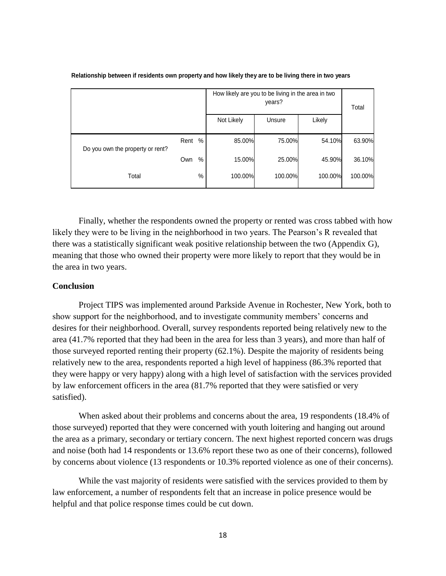|                                  |      |      |            | How likely are you to be living in the area in two<br>years? |         |         |  |  |
|----------------------------------|------|------|------------|--------------------------------------------------------------|---------|---------|--|--|
|                                  |      |      | Not Likely | Unsure                                                       | Likely  |         |  |  |
| Do you own the property or rent? | Rent | %    | 85.00%     | 75.00%                                                       | 54.10%  | 63.90%  |  |  |
|                                  | Own  | $\%$ | 15.00%     | 25.00%                                                       | 45.90%  | 36.10%  |  |  |
| Total                            |      | %    | 100.00%    | 100.00%                                                      | 100.00% | 100.00% |  |  |

#### **Relationship between if residents own property and how likely they are to be living there in two years**

Finally, whether the respondents owned the property or rented was cross tabbed with how likely they were to be living in the neighborhood in two years. The Pearson's R revealed that there was a statistically significant weak positive relationship between the two (Appendix G), meaning that those who owned their property were more likely to report that they would be in the area in two years.

#### **Conclusion**

Project TIPS was implemented around Parkside Avenue in Rochester, New York, both to show support for the neighborhood, and to investigate community members' concerns and desires for their neighborhood. Overall, survey respondents reported being relatively new to the area (41.7% reported that they had been in the area for less than 3 years), and more than half of those surveyed reported renting their property (62.1%). Despite the majority of residents being relatively new to the area, respondents reported a high level of happiness (86.3% reported that they were happy or very happy) along with a high level of satisfaction with the services provided by law enforcement officers in the area (81.7% reported that they were satisfied or very satisfied).

When asked about their problems and concerns about the area, 19 respondents (18.4% of those surveyed) reported that they were concerned with youth loitering and hanging out around the area as a primary, secondary or tertiary concern. The next highest reported concern was drugs and noise (both had 14 respondents or 13.6% report these two as one of their concerns), followed by concerns about violence (13 respondents or 10.3% reported violence as one of their concerns).

While the vast majority of residents were satisfied with the services provided to them by law enforcement, a number of respondents felt that an increase in police presence would be helpful and that police response times could be cut down.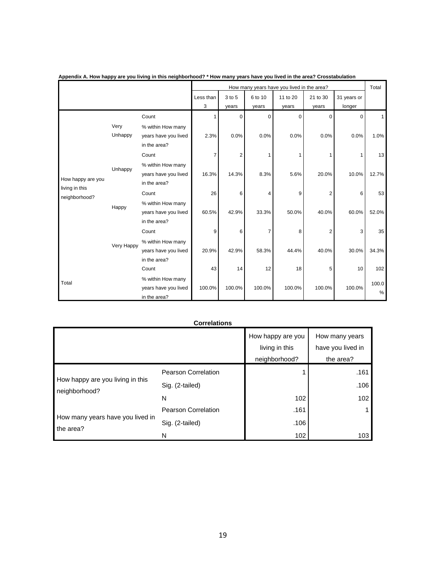|                                 |                 |                                                           |           | How many years have you lived in the area? |                |             |          |             |               |  |  |
|---------------------------------|-----------------|-----------------------------------------------------------|-----------|--------------------------------------------|----------------|-------------|----------|-------------|---------------|--|--|
|                                 |                 |                                                           | Less than | 3 to 5                                     | 6 to 10        | 11 to 20    | 21 to 30 | 31 years or |               |  |  |
|                                 |                 |                                                           | 3         | years                                      | years          | years       | years    | longer      |               |  |  |
|                                 |                 | Count                                                     |           | $\Omega$                                   | $\mathbf 0$    | $\mathbf 0$ | 0        | 0           | $\mathbf{1}$  |  |  |
| How happy are you               | Very<br>Unhappy | % within How many<br>years have you lived<br>in the area? | 2.3%      | 0.0%                                       | 0.0%           | 0.0%        | 0.0%     | 0.0%        | 1.0%          |  |  |
|                                 |                 | Count                                                     | 7         | $\overline{2}$                             | 1              |             | 1        |             | 13            |  |  |
|                                 | Unhappy         | % within How many<br>years have you lived<br>in the area? | 16.3%     | 14.3%                                      | 8.3%           | 5.6%        | 20.0%    | 10.0%       | 12.7%         |  |  |
| living in this<br>neighborhood? |                 | Count                                                     | 26        | 6                                          | 4              | 9           | 2        | 6           | 53            |  |  |
|                                 | Happy           | % within How many<br>years have you lived<br>in the area? | 60.5%     | 42.9%                                      | 33.3%          | 50.0%       | 40.0%    | 60.0%       | 52.0%         |  |  |
|                                 |                 | Count                                                     | 9         | 6                                          | $\overline{7}$ | 8           | 2        | 3           | 35            |  |  |
|                                 | Very Happy      | % within How many<br>years have you lived<br>in the area? | 20.9%     | 42.9%                                      | 58.3%          | 44.4%       | 40.0%    | 30.0%       | 34.3%         |  |  |
|                                 |                 | Count                                                     | 43        | 14                                         | 12             | 18          | 5        | 10          | 102           |  |  |
| Total                           |                 | % within How many<br>years have you lived<br>in the area? | 100.0%    | 100.0%                                     | 100.0%         | 100.0%      | 100.0%   | 100.0%      | 100.0<br>$\%$ |  |  |

**Appendix A. How happy are you living in this neighborhood? \* How many years have you lived in the area? Crosstabulation**

#### **Correlations**

|                                                   |                            | How happy are you | How many years    |
|---------------------------------------------------|----------------------------|-------------------|-------------------|
|                                                   |                            | living in this    | have you lived in |
|                                                   |                            | neighborhood?     | the area?         |
|                                                   | <b>Pearson Correlation</b> |                   | .161              |
| How happy are you living in this<br>neighborhood? | Sig. (2-tailed)            |                   | .106              |
|                                                   | N                          | 102               | 102               |
| How many years have you lived in<br>the area?     | Pearson Correlation        | .161              |                   |
|                                                   | Sig. (2-tailed)            | .106              |                   |
|                                                   | N                          | 102               | 103               |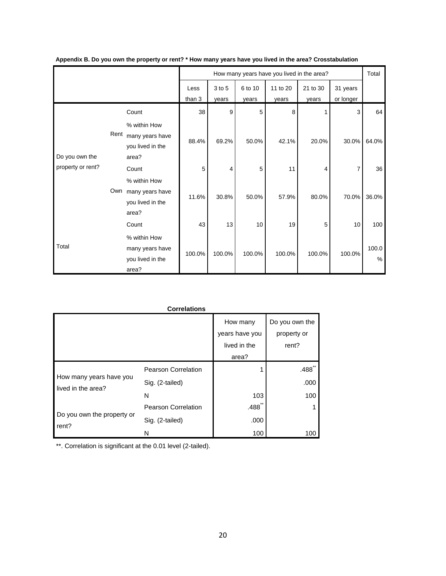|                   |      |                                                              | How many years have you lived in the area? |                 |                  |                   |                   | Total                 |            |
|-------------------|------|--------------------------------------------------------------|--------------------------------------------|-----------------|------------------|-------------------|-------------------|-----------------------|------------|
|                   |      |                                                              | Less<br>than 3                             | 3 to 5<br>years | 6 to 10<br>years | 11 to 20<br>years | 21 to 30<br>years | 31 years<br>or longer |            |
|                   |      | Count                                                        | 38                                         | 9               | 5                | 8                 |                   | 3                     | 64         |
| Do you own the    | Rent | % within How<br>many years have<br>you lived in the<br>area? | 88.4%                                      | 69.2%           | 50.0%            | 42.1%             | 20.0%             | 30.0%                 | 64.0%      |
| property or rent? |      | Count                                                        | 5                                          | 4               | 5                | 11                | 4                 |                       | 36         |
|                   | Own  | % within How<br>many years have<br>you lived in the<br>area? | 11.6%                                      | 30.8%           | 50.0%            | 57.9%             | 80.0%             | 70.0%                 | 36.0%      |
|                   |      | Count                                                        | 43                                         | 13              | 10               | 19                | 5                 | 10                    | 100        |
| Total             |      | % within How<br>many years have<br>you lived in the<br>area? | 100.0%                                     | 100.0%          | 100.0%           | 100.0%            | 100.0%            | 100.0%                | 100.0<br>% |

|                                                                             | <b>Correlations</b>                                                       |                                                     |                                        |
|-----------------------------------------------------------------------------|---------------------------------------------------------------------------|-----------------------------------------------------|----------------------------------------|
|                                                                             |                                                                           | How many<br>years have you<br>lived in the<br>area? | Do you own the<br>property or<br>rent? |
| How many years have you<br>lived in the area?<br>Do you own the property or | Pearson Correlation<br>Sig. (2-tailed)<br>N<br><b>Pearson Correlation</b> | 103<br>.488                                         | .488<br>.000<br>100                    |
| rent?                                                                       | Sig. (2-tailed)<br>N                                                      | .000<br>100                                         | 100                                    |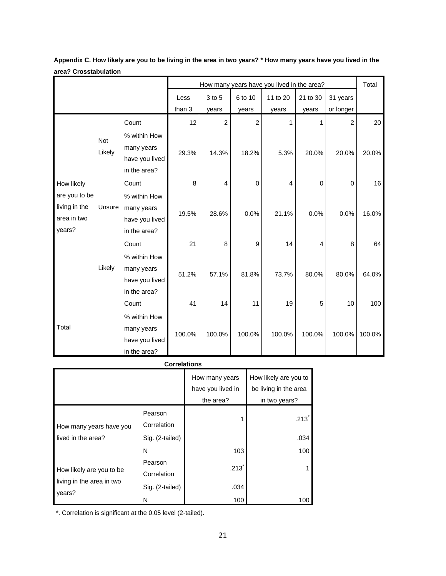|               |        |                |        | How many years have you lived in the area? |                |                |          | Total       |        |
|---------------|--------|----------------|--------|--------------------------------------------|----------------|----------------|----------|-------------|--------|
|               |        |                | Less   | 3 to 5                                     | 6 to 10        | 11 to 20       | 21 to 30 | 31 years    |        |
|               |        |                | than 3 | years                                      | years          | years          | years    | or longer   |        |
|               |        | Count          | 12     | $\overline{c}$                             | $\overline{c}$ | 1              | 1        | 2           | 20     |
|               | Not    | % within How   |        |                                            |                |                |          |             |        |
|               | Likely | many years     |        |                                            |                |                |          |             |        |
|               |        | have you lived | 29.3%  | 14.3%                                      | 18.2%          | 5.3%           | 20.0%    | 20.0%       | 20.0%  |
|               |        | in the area?   |        |                                            |                |                |          |             |        |
| How likely    |        | Count          | 8      | 4                                          | 0              | $\overline{4}$ | 0        | $\mathbf 0$ | 16     |
| are you to be |        | % within How   |        |                                            |                |                |          |             |        |
| living in the | Unsure | many years     | 19.5%  | 28.6%                                      | 0.0%           | 21.1%          | 0.0%     | 0.0%        | 16.0%  |
| area in two   |        | have you lived |        |                                            |                |                |          |             |        |
| years?        |        | in the area?   |        |                                            |                |                |          |             |        |
|               |        | Count          | 21     | 8                                          | 9              | 14             | 4        | 8           | 64     |
|               |        | % within How   |        |                                            |                |                |          |             |        |
|               | Likely | many years     | 51.2%  | 57.1%                                      | 81.8%          | 73.7%          | 80.0%    | 80.0%       | 64.0%  |
|               |        | have you lived |        |                                            |                |                |          |             |        |
|               |        | in the area?   |        |                                            |                |                |          |             |        |
|               |        | Count          | 41     | 14                                         | 11             | 19             | 5        | 10          | 100    |
|               |        | % within How   |        |                                            |                |                |          |             |        |
| Total         |        | many years     | 100.0% | 100.0%                                     | 100.0%         | 100.0%         |          |             |        |
|               |        | have you lived |        |                                            |                |                | 100.0%   | 100.0%      | 100.0% |
|               |        | in the area?   |        |                                            |                |                |          |             |        |

**Appendix C. How likely are you to be living in the area in two years? \* How many years have you lived in the area? Crosstabulation**

**Correlations**

|                           |                        | How many years<br>have you lived in<br>the area? | How likely are you to<br>be living in the area<br>in two years? |
|---------------------------|------------------------|--------------------------------------------------|-----------------------------------------------------------------|
| How many years have you   | Pearson<br>Correlation |                                                  | .213                                                            |
| lived in the area?        | Sig. (2-tailed)        |                                                  | .034                                                            |
|                           | N                      | 103                                              | 100                                                             |
| How likely are you to be  | Pearson<br>Correlation | $.213$ <sup>*</sup>                              |                                                                 |
| living in the area in two | Sig. (2-tailed)        | .034                                             |                                                                 |
| years?                    | N                      | 100                                              | 100                                                             |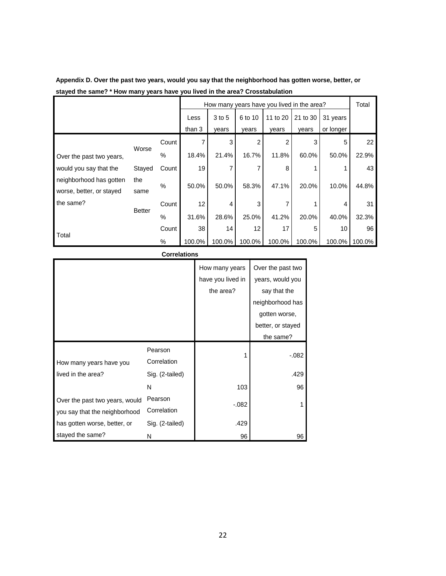|                          |        |       | How many years have you lived in the area? |        |         |          |          | Total     |        |
|--------------------------|--------|-------|--------------------------------------------|--------|---------|----------|----------|-----------|--------|
|                          |        |       | Less                                       | 3 to 5 | 6 to 10 | 11 to 20 | 21 to 30 | 31 years  |        |
|                          |        |       | than 3                                     | vears  | years   | years    | vears    | or longer |        |
|                          |        | Count |                                            | 3      | 2       | 2        | 3        | 5         | 22     |
| Over the past two years, | Worse  | $\%$  | 18.4%                                      | 21.4%  | 16.7%   | 11.8%    | 60.0%    | 50.0%     | 22.9%  |
| would you say that the   | Stayed | Count | 19                                         | 7      |         | 8        |          |           | 43     |
| neighborhood has gotten  | the    | $\%$  | 50.0%                                      | 50.0%  | 58.3%   | 47.1%    | 20.0%    | 10.0%     | 44.8%  |
| worse, better, or stayed | same   |       |                                            |        |         |          |          |           |        |
| the same?                |        | Count | 12                                         | 4      | 3       | 7        |          | 4         | 31     |
| <b>Better</b>            | %      | 31.6% | 28.6%                                      | 25.0%  | 41.2%   | 20.0%    | 40.0%    | 32.3%     |        |
|                          |        | Count | 38                                         | 14     | 12      | 17       | 5        | 10        | 96     |
| Total                    |        | $\%$  | 100.0%                                     | 100.0% | 100.0%  | 100.0%   | 100.0%   | 100.0%    | 100.0% |

| Appendix D. Over the past two years, would you say that the neighborhood has gotten worse, better, or |
|-------------------------------------------------------------------------------------------------------|
| stayed the same? * How many years have you lived in the area? Crosstabulation                         |

#### **Correlations** How many years have you lived in the area? Over the past two years, would you say that the neighborhood has gotten worse, better, or stayed the same? How many years have you lived in the area? Pearson Correlation 1 -.082 Sig. (2-tailed) **.429** N 103 96 Over the past two years, would you say that the neighborhood has gotten worse, better, or stayed the same? Pearson Correlation  $-082$  1 Sig. (2-tailed) **.429** N 96 96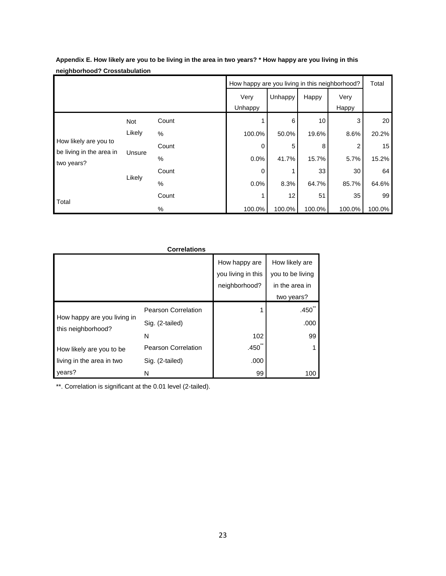|                                                   | How happy are you living in this neighborhood? |       |         |         |        | Total          |        |
|---------------------------------------------------|------------------------------------------------|-------|---------|---------|--------|----------------|--------|
|                                                   |                                                |       | Very    | Unhappy | Happy  | Very           |        |
|                                                   |                                                |       | Unhappy |         |        | Happy          |        |
|                                                   | Not                                            | Count |         | 6       | 10     | 3              | 20     |
|                                                   | Likely                                         | $\%$  | 100.0%  | 50.0%   | 19.6%  | 8.6%           | 20.2%  |
| How likely are you to<br>be living in the area in | Unsure                                         | Count | 0       | 5       | 8      | $\overline{2}$ | 15     |
| two years?                                        |                                                | $\%$  | 0.0%    | 41.7%   | 15.7%  | 5.7%           | 15.2%  |
|                                                   | Likely                                         | Count | 0       |         | 33     | 30             | 64     |
|                                                   |                                                | $\%$  | 0.0%    | 8.3%    | 64.7%  | 85.7%          | 64.6%  |
| Total                                             |                                                | Count |         | 12      | 51     | 35             | 99     |
|                                                   |                                                | %     | 100.0%  | 100.0%  | 100.0% | 100.0%         | 100.0% |

**Appendix E. How likely are you to be living in the area in two years? \* How happy are you living in this neighborhood? Crosstabulation**

| <b>Correlations</b>                               |                            |                                     |                                    |  |  |  |  |  |
|---------------------------------------------------|----------------------------|-------------------------------------|------------------------------------|--|--|--|--|--|
|                                                   |                            | How happy are<br>you living in this | How likely are<br>you to be living |  |  |  |  |  |
|                                                   |                            | neighborhood?                       | in the area in                     |  |  |  |  |  |
|                                                   |                            |                                     | two years?                         |  |  |  |  |  |
|                                                   | <b>Pearson Correlation</b> |                                     | .450 <sup>°</sup>                  |  |  |  |  |  |
| How happy are you living in<br>this neighborhood? | Sig. (2-tailed)            |                                     | .000                               |  |  |  |  |  |
|                                                   | N                          | 102                                 | 99                                 |  |  |  |  |  |
| How likely are you to be                          | <b>Pearson Correlation</b> | .450                                |                                    |  |  |  |  |  |
| living in the area in two                         | Sig. (2-tailed)            | .000                                |                                    |  |  |  |  |  |
| years?                                            | N                          | 99                                  | 100                                |  |  |  |  |  |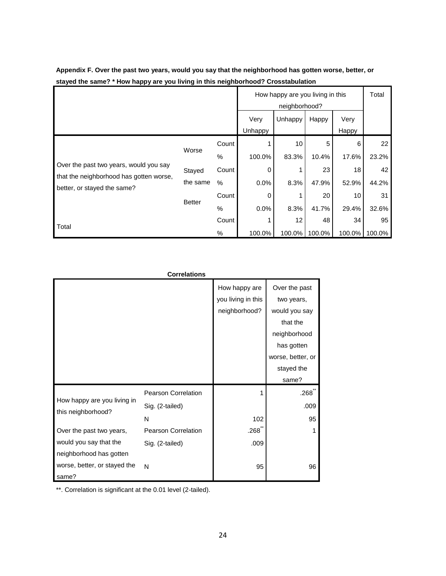|                                                                        |               |               | How happy are you living in this<br>neighborhood? |         |        |               | Total  |
|------------------------------------------------------------------------|---------------|---------------|---------------------------------------------------|---------|--------|---------------|--------|
|                                                                        |               |               | Very<br><b>Unhappy</b>                            | Unhappy | Happy  | Very<br>Happy |        |
|                                                                        |               | Count         |                                                   | 10      | 5      | 6             | 22     |
|                                                                        | Worse         | $\frac{0}{0}$ | 100.0%                                            | 83.3%   | 10.4%  | 17.6%         | 23.2%  |
| Over the past two years, would you say                                 | Stayed        | Count         | 0                                                 |         | 23     | 18            | 42     |
| that the neighborhood has gotten worse,<br>better, or stayed the same? | the same      | $\%$          | $0.0\%$                                           | 8.3%    | 47.9%  | 52.9%         | 44.2%  |
|                                                                        |               | Count         | 0                                                 |         | 20     | 10            | 31     |
|                                                                        | <b>Better</b> | %             | $0.0\%$                                           | 8.3%    | 41.7%  | 29.4%         | 32.6%  |
| Total                                                                  |               | Count         |                                                   | 12      | 48     | 34            | 95     |
|                                                                        |               | $\%$          | 100.0%                                            | 100.0%  | 100.0% | 100.0%        | 100.0% |

**Appendix F. Over the past two years, would you say that the neighborhood has gotten worse, better, or stayed the same? \* How happy are you living in this neighborhood? Crosstabulation**

|                                                   | <b>Correlations</b>        |                    |                   |
|---------------------------------------------------|----------------------------|--------------------|-------------------|
|                                                   |                            | How happy are      | Over the past     |
|                                                   |                            | you living in this | two years,        |
|                                                   |                            | neighborhood?      | would you say     |
|                                                   |                            |                    | that the          |
|                                                   |                            |                    | neighborhood      |
|                                                   |                            |                    | has gotten        |
|                                                   |                            |                    | worse, better, or |
|                                                   |                            |                    | stayed the        |
|                                                   |                            |                    | same?             |
|                                                   | <b>Pearson Correlation</b> |                    | .268              |
| How happy are you living in<br>this neighborhood? | Sig. (2-tailed)            |                    | .009              |
|                                                   | N                          | 102                | 95                |
| Over the past two years,                          | <b>Pearson Correlation</b> | $.268^{\degree}$   | 1                 |
| would you say that the                            | Sig. (2-tailed)            | .009               |                   |
| neighborhood has gotten                           |                            |                    |                   |
| worse, better, or stayed the                      | N                          | 95                 | 96                |
| same?                                             |                            |                    |                   |